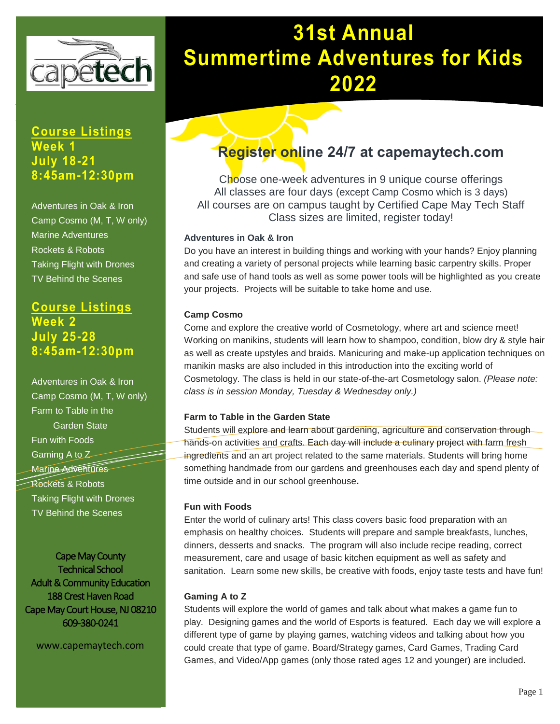

 **A "hands-on" July 18-21 summer experience 8:45am-12:30pm Course Listings Week 1**

Camp Cosmo (M, T, W only) **havaine Adventures Rockets & Robots** Rockets & Robots<br>Taking Flight with Drones **TV Behind the Scenes** Adventures in Oak & Iron

**Session 1: July 25-28 July 18-21 8:45am-12:30pm Course Listings Week 2**

Camp Cosmo (M, T, W only) **Farm to Table in the 8:45am –12:30**<br> **Barden State**  Marine Adventures  Rockets & Robots  Taking Flight with Drones *Cape May County*  TV Behind the Scenes Adventures in Oak & Iron Fun with Foods Gaming A to Z

**Cape May County**  Technical School n & Community Educat<br>188 Crest Haven Road www.capemaytech.com Cape May Court House, NJ 08210 Adult & Community Education 609-380-0241

www.capemaytech.com

# <u>UISUAHHUUT</u> **31st Annual 31st Annual Summertime Adventures for Kids Summertime Adventures for Kids 2022**

# **Register online 24/7 at capemaytech.com**

Choose one-week adventures in 9 unique course offerings All classes are four days (except Camp Cosmo which is 3 days) All courses are on campus taught by Certified Cape May Tech Staff Class sizes are limited, register today!

#### **Adventures in Oak & Iron**

Do you have an interest in building things and working with your hands? Enjoy planning and creating a variety of personal projects while learning basic carpentry skills. Proper and safe use of hand tools as well as some power tools will be highlighted as you create your projects. Projects will be suitable to take home and use.

#### **Camp Cosmo**

Come and explore the creative world of Cosmetology, where art and science meet! Working on manikins, students will learn how to shampoo, condition, blow dry & style hair as well as create upstyles and braids. Manicuring and make-up application techniques on manikin masks are also included in this introduction into the exciting world of Cosmetology. The class is held in our state-of-the-art Cosmetology salon. *(Please note: class is in session Monday, Tuesday & Wednesday only.)*

#### **Farm to Table in the Garden State**

Students will explore and learn about gardening, agriculture and conservation through hands-on activities and crafts. Each day will include a culinary project with farm fresh ingredients and an art project related to the same materials. Students will bring home something handmade from our gardens and greenhouses each day and spend plenty of time outside and in our school greenhouse**.**

#### **Fun with Foods**

Enter the world of culinary arts! This class covers basic food preparation with an emphasis on healthy choices. Students will prepare and sample breakfasts, lunches, dinners, desserts and snacks. The program will also include recipe reading, correct measurement, care and usage of basic kitchen equipment as well as safety and sanitation. Learn some new skills, be creative with foods, enjoy taste tests and have fun!

### **Gaming A to Z**

Students will explore the world of games and talk about what makes a game fun to play. Designing games and the world of Esports is featured. Each day we will explore a different type of game by playing games, watching videos and talking about how you could create that type of game. Board/Strategy games, Card Games, Trading Card Games, and Video/App games (only those rated ages 12 and younger) are included.